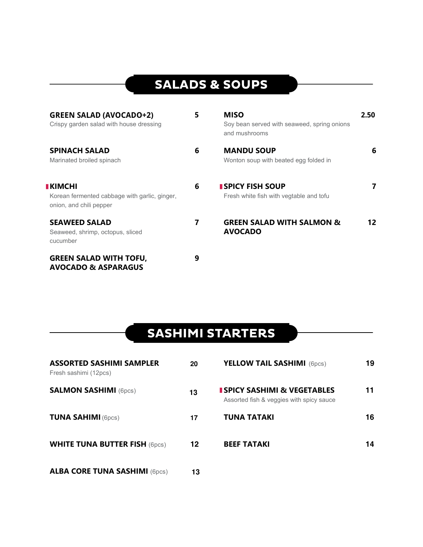## **SALADS & SOUPS**

| <b>GREEN SALAD (AVOCADO+2)</b><br>Crispy garden salad with house dressing                   | 5 | <b>MISO</b><br>Soy bean served with seaweed, spring onions<br>and mushrooms | 2.50 |
|---------------------------------------------------------------------------------------------|---|-----------------------------------------------------------------------------|------|
| <b>SPINACH SALAD</b><br>Marinated broiled spinach                                           | 6 | <b>MANDU SOUP</b><br>Wonton soup with beated egg folded in                  | 6    |
| <b>I KIMCHI</b><br>Korean fermented cabbage with garlic, ginger,<br>onion, and chili pepper | 6 | <b>I SPICY FISH SOUP</b><br>Fresh white fish with vegtable and tofu         | 7    |
| <b>SEAWEED SALAD</b><br>Seaweed, shrimp, octopus, sliced<br>cucumber                        | 7 | <b>GREEN SALAD WITH SALMON &amp;</b><br><b>AVOCADO</b>                      | 12   |
| <b>GREEN SALAD WITH TOFU,</b><br><b>AVOCADO &amp; ASPARAGUS</b>                             | 9 |                                                                             |      |

#### **SASHIMI STARTERS**

| <b>ASSORTED SASHIMI SAMPLER</b><br>Fresh sashimi (12pcs) | 20 | <b>YELLOW TAIL SASHIMI</b> (6pcs)                                                   | 19 |
|----------------------------------------------------------|----|-------------------------------------------------------------------------------------|----|
| <b>SALMON SASHIMI (6pcs)</b>                             | 13 | <b>I SPICY SASHIMI &amp; VEGETABLES</b><br>Assorted fish & veggies with spicy sauce | 11 |
| <b>TUNA SAHIMI (6pcs)</b>                                | 17 | <b>TUNA TATAKI</b>                                                                  | 16 |
| <b>WHITE TUNA BUTTER FISH (6pcs)</b>                     | 12 | <b>BEEF TATAKI</b>                                                                  | 14 |
| <b>ALBA CORE TUNA SASHIMI (6pcs)</b>                     | 13 |                                                                                     |    |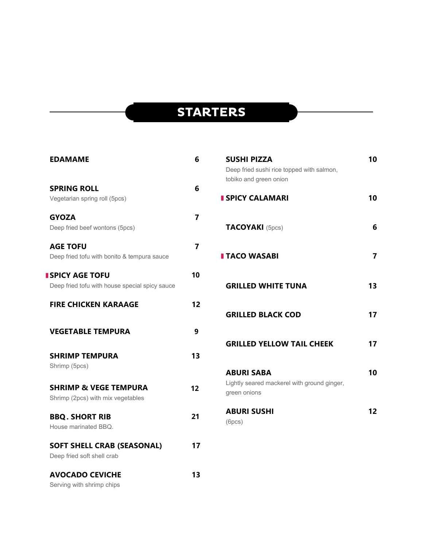### **STARTERS**

| <b>EDAMAME</b>                                                            | 6  |
|---------------------------------------------------------------------------|----|
| <b>SPRING ROLL</b><br>Vegetarian spring roll (5pcs)                       | 6  |
| <b>GYOZA</b><br>Deep fried beef wontons (5pcs)                            | 7  |
| <b>AGE TOFU</b><br>Deep fried tofu with bonito & tempura sauce            | 7  |
| <b>I SPICY AGE TOFU</b><br>Deep fried tofu with house special spicy sauce | 10 |
| <b>FIRE CHICKEN KARAAGE</b>                                               | 12 |
| <b>VEGETABLE TEMPURA</b>                                                  | 9  |
| <b>SHRIMP TEMPURA</b><br>Shrimp (5pcs)                                    | 13 |
| <b>SHRIMP &amp; VEGE TEMPURA</b><br>Shrimp (2pcs) with mix vegetables     | 12 |
| <b>BBQ. SHORT RIB</b><br>House marinated BBQ.                             | 21 |
| <b>SOFT SHELL CRAB (SEASONAL)</b><br>Deep fried soft shell crab           | 17 |
| <b>AVOCADO CEVICHE</b>                                                    | 13 |

| 6              | <b>SUSHI PIZZA</b>                          | 10 |
|----------------|---------------------------------------------|----|
|                | Deep fried sushi rice topped with salmon,   |    |
|                | tobiko and green onion                      |    |
| 6              |                                             |    |
|                | <b>SPICY CALAMARI</b>                       | 10 |
| $\overline{7}$ |                                             |    |
|                | <b>TACOYAKI</b> (5pcs)                      | 6  |
|                |                                             |    |
| 7              |                                             |    |
|                | <b>I TACO WASABI</b>                        | 7  |
|                |                                             |    |
| 10             |                                             |    |
|                | <b>GRILLED WHITE TUNA</b>                   | 13 |
| $\overline{2}$ |                                             |    |
|                | <b>GRILLED BLACK COD</b>                    | 17 |
|                |                                             |    |
| 9              |                                             |    |
|                | <b>GRILLED YELLOW TAIL CHEEK</b>            | 17 |
| 3              |                                             |    |
|                | <b>ABURI SABA</b>                           | 10 |
|                | Lightly seared mackerel with ground ginger, |    |
| $\overline{2}$ | green onions                                |    |
|                |                                             |    |
| 21             | <b>ABURI SUSHI</b>                          | 12 |
|                | (6pcs)                                      |    |
|                |                                             |    |

Serving with shrimp chips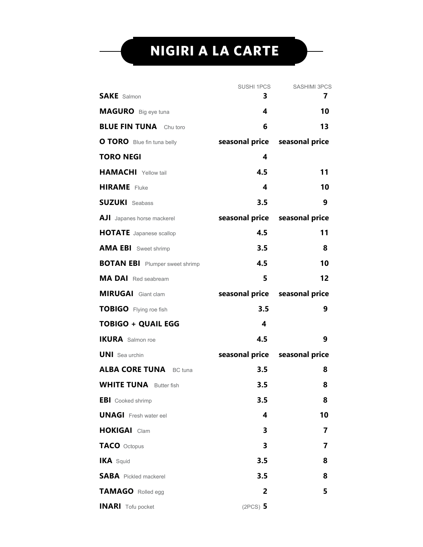## **NIGIRI A LA CARTE**

|                                       | SUSHI 1PCS | <b>SASHIMI 3PCS</b>           |
|---------------------------------------|------------|-------------------------------|
| <b>SAKE</b> Salmon                    | З.         | 7                             |
| <b>MAGURO</b> Big eye tuna            | 4          | 10                            |
| <b>BLUE FIN TUNA</b> Chu toro         | 6          | 13                            |
| <b>O TORO</b> Blue fin tuna belly     |            | seasonal price seasonal price |
| <b>TORO NEGI</b>                      | 4          |                               |
| <b>HAMACHI</b> Yellow tail            | 4.5        | 11                            |
| <b>HIRAME</b> Fluke                   | 4          | 10                            |
| <b>SUZUKI</b> Seabass                 | 3.5        | 9                             |
| <b>AJI</b> Japanes horse mackerel     |            | seasonal price seasonal price |
| <b>HOTATE</b> Japanese scallop        | 4.5        | 11                            |
| <b>AMA EBI</b> Sweet shrimp           | 3.5        | 8                             |
| <b>BOTAN EBI</b> Plumper sweet shrimp | 4.5        | 10                            |
| <b>MA DAI</b> Red seabream            | 5          | 12                            |
| <b>MIRUGAI</b> Giant clam             |            | seasonal price seasonal price |
| TOBIGO Flying roe fish                | 3.5        | 9                             |
| <b>TOBIGO + QUAIL EGG</b>             | 4          |                               |
| <b>IKURA</b> Salmon roe               | 4.5        | 9                             |
| <b>UNI</b> Sea urchin                 |            | seasonal price seasonal price |
| <b>ALBA CORE TUNA</b> BC tuna         | 3.5        | 8                             |
| <b>WHITE TUNA</b> Butter fish         | 3.5        | 8                             |
| <b>EBI</b> Cooked shrimp              | 3.5        | 8                             |
| <b>UNAGI</b> Fresh water eel          | 4          | 10                            |
| <b>HOKIGAI</b> Clam                   | 3          | 7                             |
| TACO Octopus                          | 3          | 7                             |
| <b>IKA</b> Squid                      | 3.5        | 8                             |
| <b>SABA</b> Pickled mackerel          | 3.5        | 8                             |
| TAMAGO Rolled egg                     | 2          | 5                             |
| <b>INARI</b> Tofu pocket              | $(2PCS)$ 5 |                               |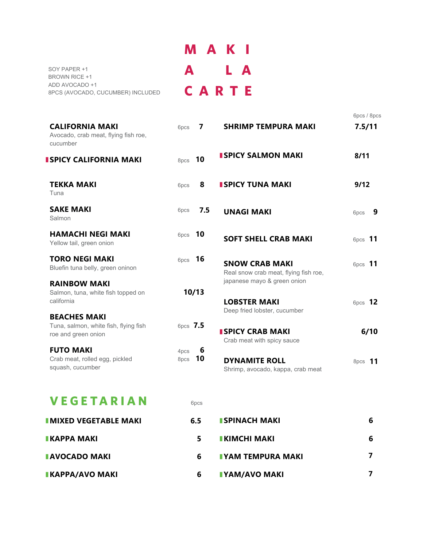|                                                     | M A K I |  |  |
|-----------------------------------------------------|---------|--|--|
| SOY PAPER +1<br><b>BROWN RICE +1</b>                | A LA    |  |  |
| ADD AVOCADO +1<br>8PCS (AVOCADO, CUCUMBER) INCLUDED | CARTE   |  |  |

| <b>CALIFORNIA MAKI</b><br>Avocado, crab meat, flying fish roe,<br>cucumber          | 7<br>6pcs               | <b>SHRIMP TEMPURA MAKI</b>                                                         | 6pcs / 8pcs<br>7.5/11 |
|-------------------------------------------------------------------------------------|-------------------------|------------------------------------------------------------------------------------|-----------------------|
| <b>I SPICY CALIFORNIA MAKI</b>                                                      | 8pcs 10                 | <b>I SPICY SALMON MAKI</b>                                                         | 8/11                  |
| <b>TEKKA MAKI</b><br>Tuna                                                           | 8<br>6pcs               | <b>I SPICY TUNA MAKI</b>                                                           | 9/12                  |
| <b>SAKE MAKI</b><br>Salmon                                                          | 7.5<br>6pcs             | <b>UNAGI MAKI</b>                                                                  | 9<br>6pcs             |
| <b>HAMACHI NEGI MAKI</b><br>Yellow tail, green onion                                | 6pcs 10                 | <b>SOFT SHELL CRAB MAKI</b>                                                        | 6pcs 11               |
| <b>TORO NEGI MAKI</b><br>Bluefin tuna belly, green oninon                           | 6pcs 16                 | <b>SNOW CRAB MAKI</b><br>Real snow crab meat, flying fish roe,                     | 6pcs 11               |
| <b>RAINBOW MAKI</b><br>Salmon, tuna, white fish topped on<br>california             | 10/13                   | japanese mayo & green onion<br><b>LOBSTER MAKI</b><br>Deep fried lobster, cucumber | 6pcs 12               |
| <b>BEACHES MAKI</b><br>Tuna, salmon, white fish, flying fish<br>roe and green onion | 6pcs 7.5                | <b>ISPICY CRAB MAKI</b><br>Crab meat with spicy sauce                              | 6/10                  |
| <b>FUTO MAKI</b><br>Crab meat, rolled egg, pickled<br>squash, cucumber              | 6<br>4pcs<br>10<br>8pcs | <b>DYNAMITE ROLL</b><br>Shrimp, avocado, kappa, crab meat                          | 8pcs <b>11</b>        |

#### **V E G E T A R I A N**

| <b>VEGETARIAN</b>            | 6 <sub>pcs</sub> |                            |   |
|------------------------------|------------------|----------------------------|---|
| <b>IMIXED VEGETABLE MAKI</b> | 6.5              | <b>ISPINACH MAKI</b>       | 6 |
| <b>IKAPPA MAKI</b>           | 5                | $\blacksquare$ KIMCHI MAKI | 6 |
| <b>AVOCADO MAKI</b>          | 6                | <b>IYAM TEMPURA MAKI</b>   |   |
| <b>IKAPPA/AVO MAKI</b>       | 6                | <b>IYAM/AVO MAKI</b>       |   |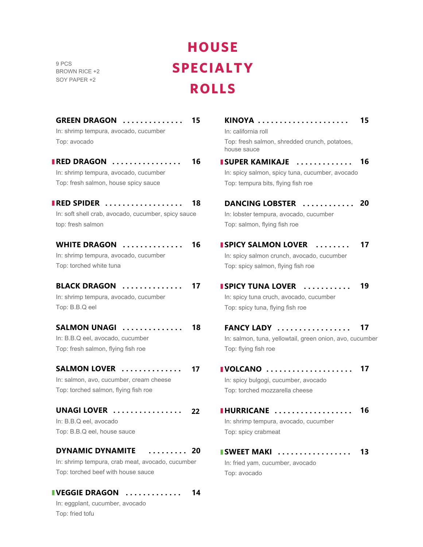9 PCS BROWN RICE +2 SOY PAPER +2

# **HOUSE SPECIALTY ROLLS**

| <b>GREEN DRAGON </b><br>In: shrimp tempura, avocado, cucumber | 15 | KINOYA<br>In: california roll                                | 15 |
|---------------------------------------------------------------|----|--------------------------------------------------------------|----|
| Top: avocado                                                  |    | Top: fresh salmon, shredded crunch, potatoes,<br>house sauce |    |
| <b>RED DRAGON</b>                                             | 16 | <b>I SUPER KAMIKAJE </b>                                     | 16 |
| In: shrimp tempura, avocado, cucumber                         |    | In: spicy salmon, spicy tuna, cucumber, avocado              |    |
| Top: fresh salmon, house spicy sauce                          |    | Top: tempura bits, flying fish roe                           |    |
| <b>IRED SPIDER</b>                                            | 18 | DANCING LOBSTER                                              | 20 |
| In: soft shell crab, avocado, cucumber, spicy sauce           |    | In: lobster tempura, avocado, cucumber                       |    |
| top: fresh salmon                                             |    | Top: salmon, flying fish roe                                 |    |
| <b>WHITE DRAGON</b>                                           | 16 | <b>I SPICY SALMON LOVER</b>                                  | 17 |
| In: shrimp tempura, avocado, cucumber                         |    | In: spicy salmon crunch, avocado, cucumber                   |    |
| Top: torched white tuna                                       |    | Top: spicy salmon, flying fish roe                           |    |
| <b>BLACK DRAGON</b>                                           | 17 | <b>I SPICY TUNA LOVER ALL SPICY TUNA LOVER</b>               | 19 |
| In: shrimp tempura, avocado, cucumber                         |    | In: spicy tuna cruch, avocado, cucumber                      |    |
| Top: B.B.Q eel                                                |    | Top: spicy tuna, flying fish roe                             |    |
| SALMON UNAGI                                                  | 18 | FANCY LADY                                                   | 17 |
| In: B.B.Q eel, avocado, cucumber                              |    | In: salmon, tuna, yellowtail, green onion, avo, cucumber     |    |
| Top: fresh salmon, flying fish roe                            |    | Top: flying fish roe                                         |    |
| SALMON LOVER                                                  | 17 | IVOLCANO                                                     | 17 |
| In: salmon, avo, cucumber, cream cheese                       |    | In: spicy bulgogi, cucumber, avocado                         |    |
| Top: torched salmon, flying fish roe                          |    | Top: torched mozzarella cheese                               |    |
| UNAGI LOVER                                                   | 22 | <b>IHURRICANE</b>                                            | 16 |
| In: B.B.Q eel, avocado                                        |    | In: shrimp tempura, avocado, cucumber                        |    |
| Top: B.B.Q eel, house sauce                                   |    | Top: spicy crabmeat                                          |    |
| <b>DYNAMIC DYNAMITE</b><br>. 20                               |    | <b>I SWEET MAKI </b>                                         | 13 |
| In: shrimp tempura, crab meat, avocado, cucumber              |    | In: fried yam, cucumber, avocado                             |    |
| Top: torched beef with house sauce                            |    | Top: avocado                                                 |    |
| <b>I VEGGIE DRAGON</b>                                        | 14 |                                                              |    |

In: eggplant, cucumber, avocado Top: fried tofu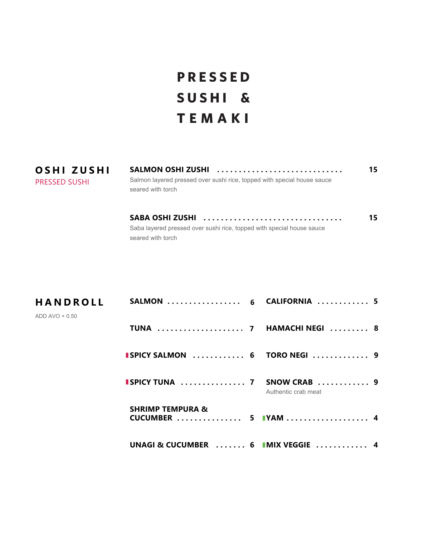## **PRESSED SUSHI & TEMAKI**

| OSHI ZUSHI    | SALMON OSHI ZUSHI                                                                            | 15. |
|---------------|----------------------------------------------------------------------------------------------|-----|
| PRESSED SUSHI | Salmon layered pressed over sushi rice, topped with special house sauce<br>seared with torch |     |
|               |                                                                                              |     |

**SABA OSHI ZUSHI . . . . . . . . . . . . . . . . . . . . . . . . . . . . . . . .**  Saba layered pressed over sushi rice, topped with special house sauce seared with torch

**15**

| <b>HANDROLL</b> | SALMON  6 CALIFORNIA  5                            |                     |  |
|-----------------|----------------------------------------------------|---------------------|--|
| ADD AVO + 0.50  | TUNA  7 HAMACHI NEGI  8                            |                     |  |
|                 | <b>ISPICY SALMON</b> 6 TORO NEGI  9                |                     |  |
|                 | <b>ISPICY TUNA  7 SNOW CRAB  9</b>                 | Authentic crab meat |  |
|                 | <b>SHRIMP TEMPURA &amp;</b><br>CUCUMBER  5 IYAM  4 |                     |  |
|                 | UNAGI & CUCUMBER  6 IMIX VEGGIE  4                 |                     |  |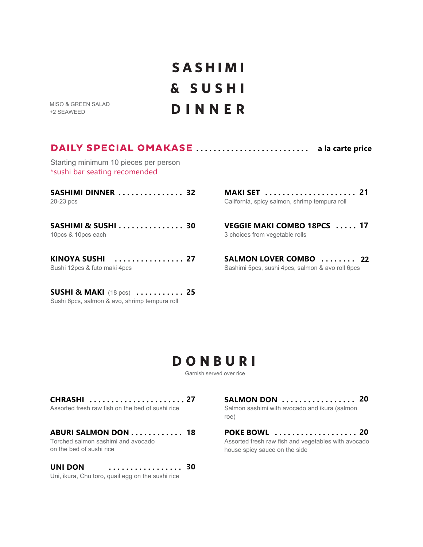## **SASHIMI & SUSHI DINNER**

MISO & GREEN SALAD +2 SEAWEED

#### **DAILY SPECIAL OMAKASE ............................ a la carte price**

Starting minimum 10 pieces per person \*sushi bar seating recomended

| SASHIMI DINNER  32 |  |  |  |  |  |  |  |  |
|--------------------|--|--|--|--|--|--|--|--|
| 20-23 pcs          |  |  |  |  |  |  |  |  |

**SASHIMI & SUSHI . . . . . . . . . . . . . . . 30** 10pcs & 10pcs each

**KINOYA SUSHI . . . . . . . . . . . . . . . . 27** Sushi 12pcs & futo maki 4pcs

**SUSHI & MAKI** (18 pcs) **. . . . . . . . . . . 25** Sushi 6pcs, salmon & avo, shrimp tempura roll

**MAKI SET . . . . . . . . . . . . . . . . . . . . . 21** California, spicy salmon, shrimp tempura roll

**VEGGIE MAKI COMBO 18PCS . . . . . 17** 3 choices from vegetable rolls

**SALMON LOVER COMBO . . . . . . . . 21 22**Sashimi 5pcs, sushi 4pcs, salmon & avo roll 6pcs

#### **DONBURI**

Garnish served over rice

| CHRASHI  27                                                    |  |
|----------------------------------------------------------------|--|
| Assorted fresh raw fish on the bed of sushi rice               |  |
|                                                                |  |
| ABURI SALMON DON 18                                            |  |
| Torched salmon sashimi and avocado<br>on the bed of sushi rice |  |
|                                                                |  |

**UNI DON . . . . . . . . . . . . . . . . . 30** Uni, ikura, Chu toro, quail egg on the sushi rice

**SALMON DON . . . . . . . . . . . . . . . . . 20** Salmon sashimi with avocado and ikura (salmon roe)

**POKE BOWL . . . . . . . . . . . . . . . . . . . 20** Assorted fresh raw fish and vegetables with avocado house spicy sauce on the side